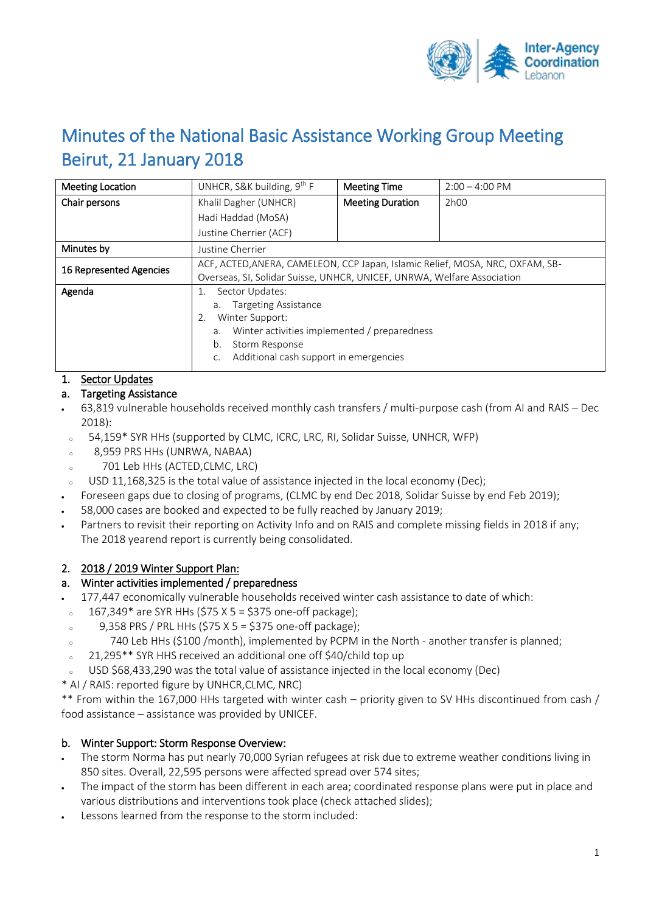

# Minutes of the National Basic Assistance Working Group Meeting Beirut, 21 January 2018

| <b>Meeting Location</b> | UNHCR, S&K building, $9th F$                                                                                                                                                                | <b>Meeting Time</b>     | $2:00 - 4:00 \text{ PM}$ |
|-------------------------|---------------------------------------------------------------------------------------------------------------------------------------------------------------------------------------------|-------------------------|--------------------------|
| Chair persons           | Khalil Dagher (UNHCR)                                                                                                                                                                       | <b>Meeting Duration</b> | 2h00                     |
|                         | Hadi Haddad (MoSA)                                                                                                                                                                          |                         |                          |
|                         | Justine Cherrier (ACF)                                                                                                                                                                      |                         |                          |
| Minutes by              | Justine Cherrier                                                                                                                                                                            |                         |                          |
| 16 Represented Agencies | ACF, ACTED, ANERA, CAMELEON, CCP Japan, Islamic Relief, MOSA, NRC, OXFAM, SB-<br>Overseas, SI, Solidar Suisse, UNHCR, UNICEF, UNRWA, Welfare Association                                    |                         |                          |
| Agenda                  | Sector Updates:<br>a. Targeting Assistance<br>Winter Support:<br>2.<br>Winter activities implemented / preparedness<br>a.<br>Storm Response<br>b.<br>Additional cash support in emergencies |                         |                          |

## 1. Sector Updates

## a. Targeting Assistance

- 63,819 vulnerable households received monthly cash transfers / multi-purpose cash (from AI and RAIS Dec 2018):
- 54,159\* SYR HHs (supported by CLMC, ICRC, LRC, RI, Solidar Suisse, UNHCR, WFP)
- <sup>o</sup> 8,959 PRS HHs (UNRWA, NABAA)
- <sup>o</sup> 701 Leb HHs (ACTED,CLMC, LRC)
- $\sim$  USD 11,168,325 is the total value of assistance injected in the local economy (Dec);
- Foreseen gaps due to closing of programs, (CLMC by end Dec 2018, Solidar Suisse by end Feb 2019);
- 58,000 cases are booked and expected to be fully reached by January 2019;
- Partners to revisit their reporting on Activity Info and on RAIS and complete missing fields in 2018 if any; The 2018 yearend report is currently being consolidated.

## 2. 2018 / 2019 Winter Support Plan:

#### a. Winter activities implemented / preparedness

- 177,447 economically vulnerable households received winter cash assistance to date of which:
- $-167,349*$  are SYR HHs (\$75 X 5 = \$375 one-off package);
- $\degree$  9,358 PRS / PRL HHs (\$75 X 5 = \$375 one-off package);
- <sup>o</sup> 740 Leb HHs (\$100 /month), implemented by PCPM in the North another transfer is planned;
- <sup>o</sup> 21,295\*\* SYR HHS received an additional one off \$40/child top up
- USD \$68,433,290 was the total value of assistance injected in the local economy (Dec)
- \* AI / RAIS: reported figure by UNHCR,CLMC, NRC)

\*\* From within the 167,000 HHs targeted with winter cash – priority given to SV HHs discontinued from cash / food assistance – assistance was provided by UNICEF.

## b. Winter Support: Storm Response Overview:

- The storm Norma has put nearly 70,000 Syrian refugees at risk due to extreme weather conditions living in 850 sites. Overall, 22,595 persons were affected spread over 574 sites;
- The impact of the storm has been different in each area; coordinated response plans were put in place and various distributions and interventions took place (check attached slides);
- Lessons learned from the response to the storm included: